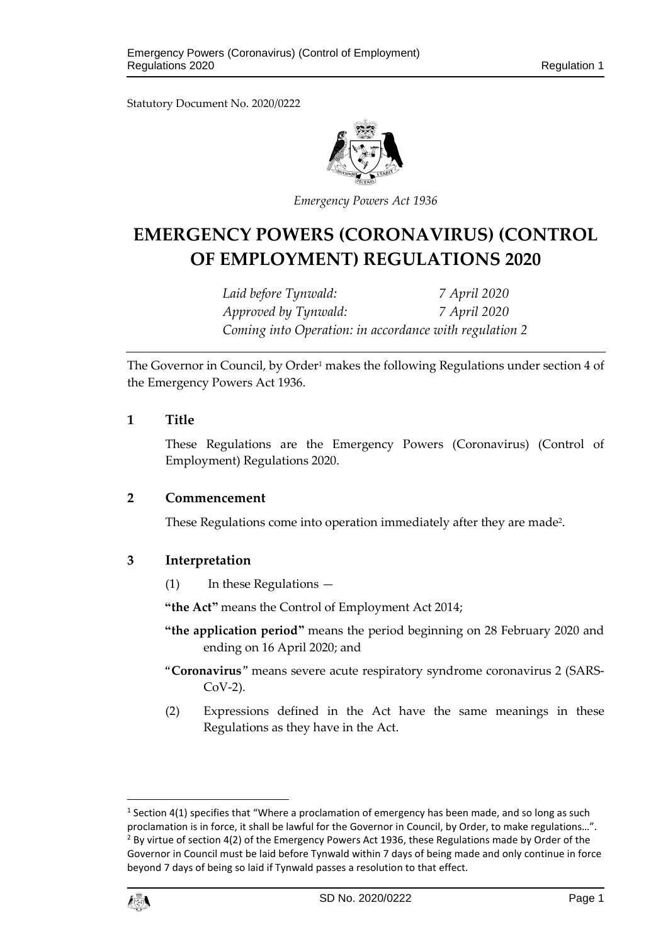Statutory Document No. 2020/0222



*Emergency Powers Act 1936*

# **EMERGENCY POWERS (CORONAVIRUS) (CONTROL OF EMPLOYMENT) REGULATIONS 2020**

*Laid before Tynwald: 7 April 2020 Approved by Tynwald: 7 April 2020 Coming into Operation: in accordance with regulation 2*

The Governor in Council, by Order<sup>1</sup> makes the following Regulations under section 4 of the Emergency Powers Act 1936.

#### **1 Title**

These Regulations are the Emergency Powers (Coronavirus) (Control of Employment) Regulations 2020.

#### **2 Commencement**

These Regulations come into operation immediately after they are made<sup>2</sup>.

### **3 Interpretation**

(1) In these Regulations —

**"the Act"** means the Control of Employment Act 2014;

- **"the application period"** means the period beginning on 28 February 2020 and ending on 16 April 2020; and
- "**Coronavirus**" means severe acute respiratory syndrome coronavirus 2 (SARS-CoV-2).
- (2) Expressions defined in the Act have the same meanings in these Regulations as they have in the Act.

 $<sup>1</sup>$  Section 4(1) specifies that "Where a proclamation of emergency has been made, and so long as such</sup> proclamation is in force, it shall be lawful for the Governor in Council, by Order, to make regulations...".  $<sup>2</sup>$  By virtue of section 4(2) of the Emergency Powers Act 1936, these Regulations made by Order of the</sup> Governor in Council must be laid before Tynwald within 7 days of being made and only continue in force beyond 7 days of being so laid if Tynwald passes a resolution to that effect.



 $\overline{\phantom{a}}$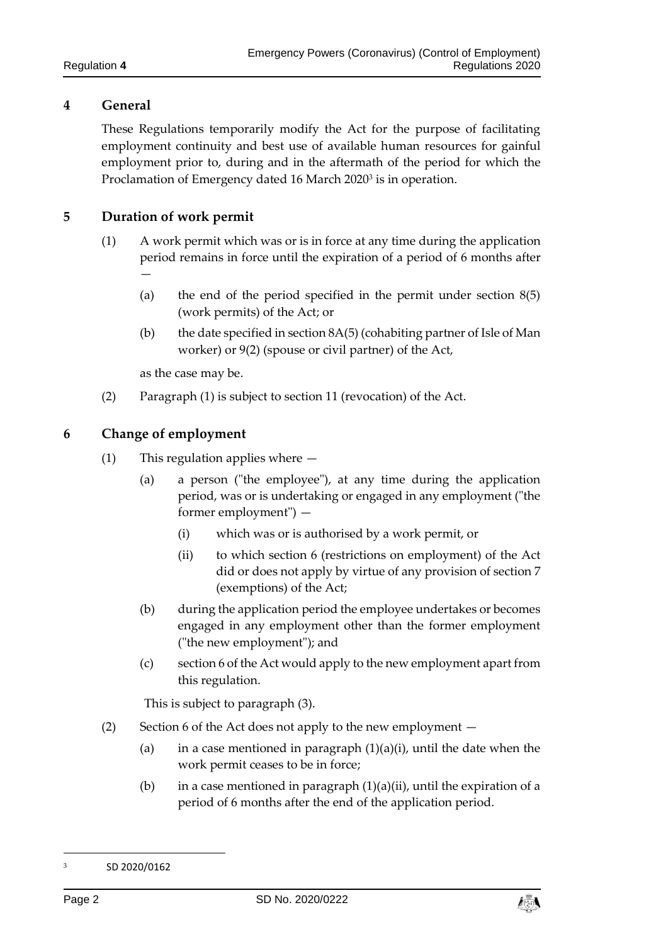# **4 General**

These Regulations temporarily modify the Act for the purpose of facilitating employment continuity and best use of available human resources for gainful employment prior to, during and in the aftermath of the period for which the Proclamation of Emergency dated 16 March 2020<sup>3</sup> is in operation.

# **5 Duration of work permit**

- (1) A work permit which was or is in force at any time during the application period remains in force until the expiration of a period of 6 months after —
	- (a) the end of the period specified in the permit under section 8(5) (work permits) of the Act; or
	- (b) the date specified in section 8A(5) (cohabiting partner of Isle of Man worker) or 9(2) (spouse or civil partner) of the Act,

as the case may be.

(2) Paragraph (1) is subject to section 11 (revocation) of the Act.

### **6 Change of employment**

- (1) This regulation applies where
	- (a) a person ("the employee"), at any time during the application period, was or is undertaking or engaged in any employment ("the former employment") —
		- (i) which was or is authorised by a work permit, or
		- (ii) to which section 6 (restrictions on employment) of the Act did or does not apply by virtue of any provision of section 7 (exemptions) of the Act;
	- (b) during the application period the employee undertakes or becomes engaged in any employment other than the former employment ("the new employment"); and
	- (c) section 6 of the Act would apply to the new employment apart from this regulation.

This is subject to paragraph (3).

- (2) Section 6 of the Act does not apply to the new employment
	- (a) in a case mentioned in paragraph  $(1)(a)(i)$ , until the date when the work permit ceases to be in force;
	- (b) in a case mentioned in paragraph  $(1)(a)(ii)$ , until the expiration of a period of 6 months after the end of the application period.

 $\overline{a}$ 



<sup>3</sup> SD 2020/0162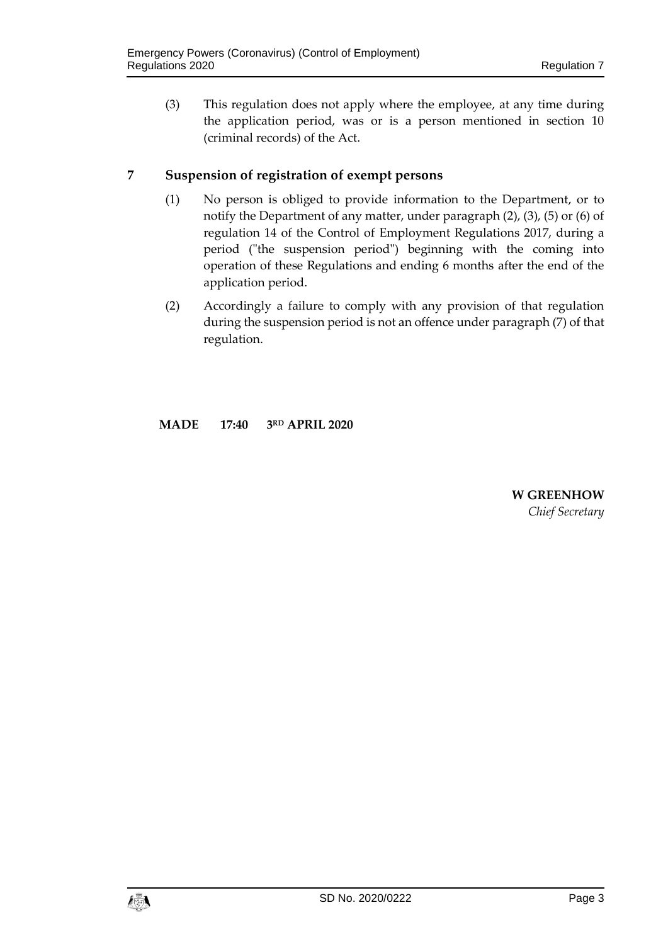(3) This regulation does not apply where the employee, at any time during the application period, was or is a person mentioned in section 10 (criminal records) of the Act.

# **7 Suspension of registration of exempt persons**

- (1) No person is obliged to provide information to the Department, or to notify the Department of any matter, under paragraph (2), (3), (5) or (6) of regulation 14 of the Control of Employment Regulations 2017, during a period ("the suspension period") beginning with the coming into operation of these Regulations and ending 6 months after the end of the application period.
- (2) Accordingly a failure to comply with any provision of that regulation during the suspension period is not an offence under paragraph (7) of that regulation.

**MADE 17:40 3RD APRIL 2020**

**W GREENHOW** *Chief Secretary*